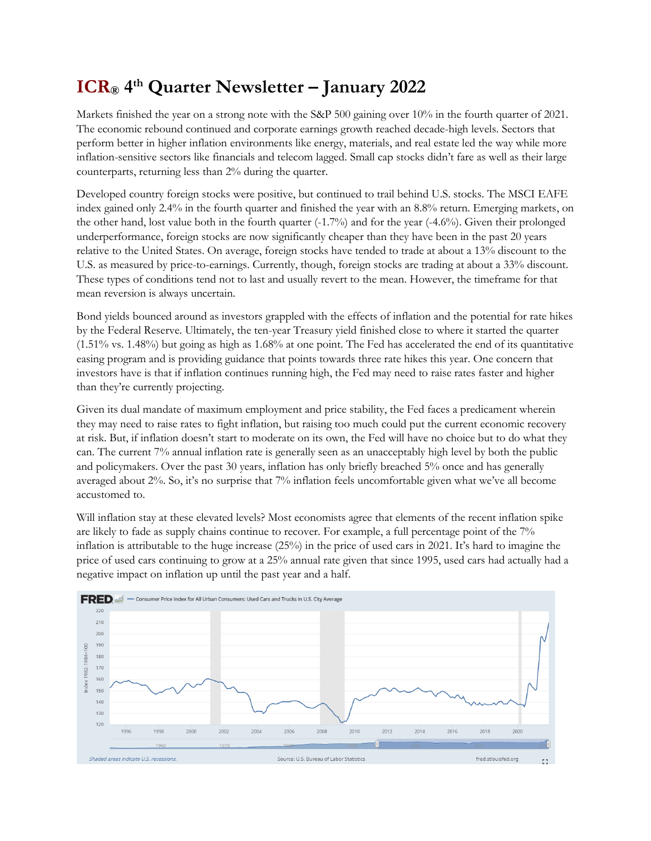## **ICR® 4 th Quarter Newsletter – January 2022**

Markets finished the year on a strong note with the S&P 500 gaining over 10% in the fourth quarter of 2021. The economic rebound continued and corporate earnings growth reached decade-high levels. Sectors that perform better in higher inflation environments like energy, materials, and real estate led the way while more inflation-sensitive sectors like financials and telecom lagged. Small cap stocks didn't fare as well as their large counterparts, returning less than 2% during the quarter.

Developed country foreign stocks were positive, but continued to trail behind U.S. stocks. The MSCI EAFE index gained only 2.4% in the fourth quarter and finished the year with an 8.8% return. Emerging markets, on the other hand, lost value both in the fourth quarter (-1.7%) and for the year (-4.6%). Given their prolonged underperformance, foreign stocks are now significantly cheaper than they have been in the past 20 years relative to the United States. On average, foreign stocks have tended to trade at about a 13% discount to the U.S. as measured by price-to-earnings. Currently, though, foreign stocks are trading at about a 33% discount. These types of conditions tend not to last and usually revert to the mean. However, the timeframe for that mean reversion is always uncertain.

Bond yields bounced around as investors grappled with the effects of inflation and the potential for rate hikes by the Federal Reserve. Ultimately, the ten-year Treasury yield finished close to where it started the quarter (1.51% vs. 1.48%) but going as high as 1.68% at one point. The Fed has accelerated the end of its quantitative easing program and is providing guidance that points towards three rate hikes this year. One concern that investors have is that if inflation continues running high, the Fed may need to raise rates faster and higher than they're currently projecting.

Given its dual mandate of maximum employment and price stability, the Fed faces a predicament wherein they may need to raise rates to fight inflation, but raising too much could put the current economic recovery at risk. But, if inflation doesn't start to moderate on its own, the Fed will have no choice but to do what they can. The current 7% annual inflation rate is generally seen as an unacceptably high level by both the public and policymakers. Over the past 30 years, inflation has only briefly breached 5% once and has generally averaged about 2%. So, it's no surprise that 7% inflation feels uncomfortable given what we've all become accustomed to.

Will inflation stay at these elevated levels? Most economists agree that elements of the recent inflation spike are likely to fade as supply chains continue to recover. For example, a full percentage point of the 7% inflation is attributable to the huge increase (25%) in the price of used cars in 2021. It's hard to imagine the price of used cars continuing to grow at a 25% annual rate given that since 1995, used cars had actually had a negative impact on inflation up until the past year and a half.